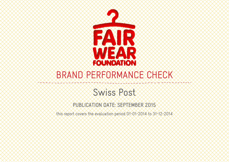

# BRAND PERFORMANCE CHECK

# Swiss Post

PUBLICATION DATE: SEPTEMBER 2015

this report covers the evaluation period 01-01-2014 to 31-12-2014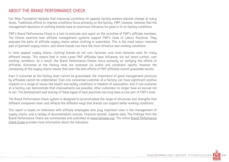#### ABOUT THE BRAND PERFORMANCE CHECK

Fair Wear Foundation believes that improving conditions for apparel factory workers requires change at many levels. Traditional efforts to improve conditions focus primarily on the factory. FWF, however, believes that the management decisions of clothing brands have an enormous influence for good or ill on factory conditions.

FWF's Brand Performance Check is a tool to evaluate and report on the activities of FWF's affiliate members. The Checks examine how affiliate management systems support FWF's Code of Labour Practices. They evaluate the parts of affiliate supply chains where clothing is assembled. This is the most labour intensive part of garment supply chains, and where brands can have the most influence over working conditions.

In most apparel supply chains, clothing brands do not own factories, and most factories work for many different brands. This means that in most cases FWF affiliates have influence, but not direct control, over working conditions. As a result, the Brand Performance Checks focus primarily on verifying the efforts of affiliates. Outcomes at the factory level are assessed via audits and complaint reports, however the complexity of the supply chains means that even the best efforts of FWF affiliates cannot guarantee results.

Even if outcomes at the factory level cannot be guaranteed, the importance of good management practices by affiliates cannot be understated. Even one concerned customer at a factory can have significant positive impacts on a range of issues like health and safety conditions or freedom of association. And if one customer at a factory can demonstrate that improvements are possible, other customers no longer have an excuse not to act. The development and sharing of these types of best practices has long been a core part of FWF's work.

The Brand Performance Check system is designed to accommodate the range of structures and strengths that different companies have, and reflects the different ways that brands can support better working conditions.

This report is based on interviews with affiliate employees who play important roles in the management of supply chains, and a variety of documentation sources, financial records, supplier data. The findings from the Brand Performance Check are summarized and published at www.fairwear.org. The online Brand Performance Check Guide provides more information about the indicators.

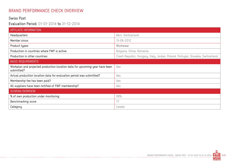## BRAND PERFORMANCE CHECK OVERVIEW

#### Swiss Post

#### Evaluation Period: 01-01-2014 to 31-12-2014

-------------------------------

| AFFILIATE INFORMATION                                                                     |                                                                                 |
|-------------------------------------------------------------------------------------------|---------------------------------------------------------------------------------|
| Headquarters:                                                                             | Bern, Switzerland                                                               |
| Member since:                                                                             | 13-06-2012                                                                      |
| Product types:                                                                            | Workwear                                                                        |
| Production in countries where FWF is active:                                              | Bulgaria, China, Romania                                                        |
| Production in other countries:                                                            | Czech Republic, Hungary, Italy, Jordan, Poland, Portugal, Slovakia, Switzerland |
| <b>BASIC REQUIREMENTS</b>                                                                 |                                                                                 |
| Workplan and projected production location data for upcoming year have been<br>submitted? | Yes                                                                             |
| Actual production location data for evaluation period was submitted?                      | Yes                                                                             |
| Membership fee has been paid?                                                             | Yes                                                                             |
| All suppliers have been notified of FWF membership?                                       | Yes                                                                             |
| <b>SCORING OVERVIEW</b>                                                                   |                                                                                 |
| % of own production under monitoring                                                      | 99%                                                                             |
| Benchmarking score                                                                        | 77                                                                              |
| Category                                                                                  | Leader                                                                          |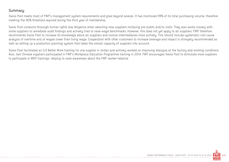#### Summary:

Swiss Post meets most of FWF's management system requirements and goes beyond several. It has monitored 99% of its total purchasing volume, therefore meeting the 90% threshold required during the third year of membership.

Swiss Post conducts thorough human rights due diligence when selecting new suppliers inclduing pre-audits and/or visits. They also works closely with some suppliers to remediate audit findings and actively tries to raise wage benchmarks. However, this does not yet apply to all suppliers. FWF therefore recommends Swiss Post to increase its knowledge about all suppliers and involve intermediaries more actively. This should include systematic root cause analysis of overtime and of wages lower than living wage. Cooperation with other customers to increase leverage and impact is strongely recommended as well as setting up a production planning system that takes the overall capacity of suppliers into account.

Swiss Post facilitated an ILO Better Work training for one supplier in Jordan and actively worked on improving dialogue at the factory and working conditions. Also, two Chinese suppliers participated in FWF's Workplace Education Programme training in 2014. FWF encourages Swiss Post to stimulate more suppliers to participate in WEP trainings, helping to raise awareness about the FWF worker helpline.

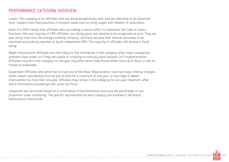#### PERFORMANCE CATEGORY OVERVIEW

Leader: This category is for affiliates who are doing exceptionally well, and are operating at an advanced level. Leaders show best practices in complex areas such as living wages and freedom of association.

Good: It is FWF's belief that affiliates who are making a serious effort to implement the Code of Labour Practices—the vast majority of FWF affiliates—are 'doing good' and deserve to be recognized as such. They are also doing more than the average clothing company, and have allowed their internal processes to be examined and publicly reported on by an independent NGO. The majority of affiliates will receive a 'Good' rating.

Needs Improvement: Affiliates are most likely to find themselves in this category when major unexpected problems have arisen, or if they are unable or unwilling to seriously work towards CoLP implementation. Affiliates may be in this category for one year only after which they should either move up to Good, or will be moved to suspended.

Suspended: Affiliates who either fail to meet one of the Basic Requirements, have had major internal changes which means membership must be put on hold for a maximum of one year, or have been in Needs Improvement for more than one year. Affiliates may remain in this category for one year maximum, after which termination proceedings will come into force.

Categories are calculated based on a combination of benchmarking score and the percentage of own production under monitoring. The specific requirements for each category are outlined in the Brand Performance Check Guide.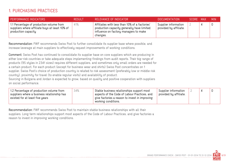## 1. PURCHASING PRACTICES

| <b>PERFORMANCE INDICATORS</b>                                                                                     | <b>RESULT</b> | RELEVANCE OF INDICATOR                                                                                                                           | DOCUMENTATION                                  | SCORE MAX | MIN. |
|-------------------------------------------------------------------------------------------------------------------|---------------|--------------------------------------------------------------------------------------------------------------------------------------------------|------------------------------------------------|-----------|------|
| 1.1 Percentage of production volume from<br>suppliers where affiliate buys at least 10% of<br>production capacity | 41%           | Affiliates with less than 10% of a factories'<br>production capacity generally have limited<br>influence on factory managers to make<br>changes. | Supplier information<br>provided by affiliate. |           |      |

Recommendation: FWF recommends Swiss Post to further consolidate its supplier base where possible, and increase leverage at main suppliers to effectively request improvements of working conditions.

Comment: Swiss Post has continued to consolidate its supplier base on core suppliers which are producing in either low-risk countries or take adequate steps implementing findings from audit reports. Their big range of products (95 styles in 2341 sizes) requires different suppliers, and sometimes only small orders are needed for a certain product. For each product (except for business wear and shirts) Swiss Post concentrates on 1 supplier. Swiss Post's choice of production country is related to risk assessment (preferably low or middle risk country), proximity for travel (to enable regular visits) and availability of product.

Sourcing in Bulgaria and Jordan is expected to grow, based on quality and positive cooperation with suppliers on social performance.

| 1.2 Percentage of production volume from<br>suppliers where a business relationship has<br>existed for at least five years | 34%<br>Stable business relationships support most<br>Supplier information<br>aspects of the Code of Labour Practices, and<br>provided by affiliate.<br>give factories a reason to invest in improving<br>working conditions. |  |  |  |
|----------------------------------------------------------------------------------------------------------------------------|------------------------------------------------------------------------------------------------------------------------------------------------------------------------------------------------------------------------------|--|--|--|
|----------------------------------------------------------------------------------------------------------------------------|------------------------------------------------------------------------------------------------------------------------------------------------------------------------------------------------------------------------------|--|--|--|

Recommendation: FWF recommends Swiss Post to maintain stable business relationships with all their suppliers. Long term relationships support most aspects of the Code of Labour Practices, and give factories a reason to invest in improving working conditions.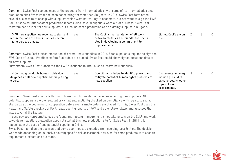Comment: Swiss Post sources most of the products from intermediaries; with some of its intermediaries and production sites Swiss Post has been cooperating for more than 50 years. In 2014, Swiss Post terminated several business relationship with suppliers which were not willing to cooperate, did not want to sign the FWF CoLP or showed intransparent production records. Also, several suppliers went out of business. Swiss Post therefore had to look for new suppliers, but also increased production at an existing supplier in Bulgaria.

| 1.3 All new suppliers are required to sign and<br>return the Code of Labour Practices before | yes | The CoLP is the foundation of all work<br>between factories and brands, and the first | Signed CoLPs are on<br>file. |  |  |
|----------------------------------------------------------------------------------------------|-----|---------------------------------------------------------------------------------------|------------------------------|--|--|
| first orders are placed.                                                                     |     | step in developing a commitment to                                                    |                              |  |  |
|                                                                                              |     | improvements.                                                                         |                              |  |  |

Comment: Swiss Post started production at severall new suppliers in 2014. Each supplier is required to sign the FWF Code of Labour Practices before first orders are placed. Swiss Post could show signed questionnaires of all new suppliers.

Furthermore, Swiss Post translated the FWF questionnaire into Polish to inform new suppliers.

| 1.4 Company conducts human rights due<br>yes<br>diligence at all new suppliers before placing<br>orders. | Due diligence helps to identify, prevent and<br>mitigate potential human rights problems at<br>new suppliers. | Documentation may<br>include pre-audits,<br>existing audits, other<br>types of risk<br>assessments. |  |  |  |
|----------------------------------------------------------------------------------------------------------|---------------------------------------------------------------------------------------------------------------|-----------------------------------------------------------------------------------------------------|--|--|--|
|----------------------------------------------------------------------------------------------------------|---------------------------------------------------------------------------------------------------------------|-----------------------------------------------------------------------------------------------------|--|--|--|

Comment: Swiss Post conducts thorough human rights due diligence when selecting new suppliers. All potential suppliers are either audited or visited and explicitly checked on compliance with regard to social standards at the beginning of cooperation before even sample orders are placed. For this, Swiss Post uses the Health and Safety checklist of FWF, reads country reports of FWF and other stakeholders and assesses the wage level at the factory.

In case obvious non-compliances are found and factory management is not willing to sign the CoLP and work towards remediation, production does not start at this new production site for Swiss Post. In 2014, this happened in the case of one potential supplier in China.

Swiss Post has taken the decision that some countries are excluded from sourcing possibilities. The decision was made depending on extensive country specific risk assessment. However, for some products with specific requirements, exceptions are made.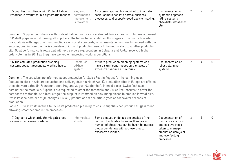| 1.5 Supplier compliance with Code of Labour<br>Practices is evaluated in a systematic manner. | yes, and<br>performance<br><b>Improvement</b><br>is rewarded | A systemic approach is required to integrate<br>social compliance into normal business<br>processes, and supports good decisionmaking. | Documentation of<br>systemic approach:<br>rating systems,<br>checklists, databases,<br>etc. |  |  |  |
|-----------------------------------------------------------------------------------------------|--------------------------------------------------------------|----------------------------------------------------------------------------------------------------------------------------------------|---------------------------------------------------------------------------------------------|--|--|--|
|-----------------------------------------------------------------------------------------------|--------------------------------------------------------------|----------------------------------------------------------------------------------------------------------------------------------------|---------------------------------------------------------------------------------------------|--|--|--|

Comment: Supplier compliance with Code of Labour Practices is evaluated twice a year with top management. CSR staff prepares a list naming all suppliers. The list includes: audit results, wages at the production site, risk analysis with regard to non-compliance on social standards, recommendation on how to proceed with the supplier, cost in case the risk is considered high and production needs to be reallocated to another production site. Good performance is rewarded with extra orders e.g. suppliers in Bulgaria and Jordan received higher order volumes in 2014 as they have worked on improving working conditions.

| 1.6 The affiliate's production planning   | General or | $\parallel$ Affiliate production planning systems can | Documentation of | _ |  |
|-------------------------------------------|------------|-------------------------------------------------------|------------------|---|--|
| systems support reasonable working hours. | ad-hoc     | have a significant impact on the levels of            | robust planning  |   |  |
|                                           | sustem.    | excessive overtime at factories.                      | sustems.         |   |  |

Comment: The suppliers are informed about production for Swiss Post in August for the coming year. Production sites in Asia are requested one delivery date (in March/April), production sites in Europe are offered three delivery dates (in February/March, May and August/September). In most cases, Swiss Post also nominates the materials. Suppliers are requested to order the materials and Swiss Post ensures to cover the cost for the materials. At a later stage, the supplier is informed on how many pieces to produce in what size. Swiss Post seldom has style changes. Usually production for one article goes on for several seasons of production.

For 2015, Swiss Posts intends to revise its production planning to ensure suppliers can produce all year round allowing smoother production processes.

| 1.7 Degree to which affiliate mitigates root<br>causes of excessive overtime. | Intermediate<br>efforts | Some production delays are outside of the<br>control of affiliates; however there are a<br>number of steps that can be taken to address<br>production delays without resorting to<br>excessive overtime. | Documentation of<br>root cause analysis<br>and positive steps<br>taken to manage<br>production delays or<br>improve factory<br>processes. |  | 6 | O |
|-------------------------------------------------------------------------------|-------------------------|----------------------------------------------------------------------------------------------------------------------------------------------------------------------------------------------------------|-------------------------------------------------------------------------------------------------------------------------------------------|--|---|---|
|-------------------------------------------------------------------------------|-------------------------|----------------------------------------------------------------------------------------------------------------------------------------------------------------------------------------------------------|-------------------------------------------------------------------------------------------------------------------------------------------|--|---|---|

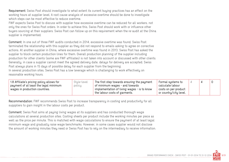Requirement: Swiss Post should investigate to what extent its current buying practices has an effect on the working hours at supplier level. A root cause analysis of excessive overtime should be done to investigate which steps can be most effective to reduce overtime.

FWF expects Swiss Post to discuss with supplier how excessive overtime can be reduced for all workers, not only the ones for Swiss Post orders. In order to achieve this, Swiss Post should work with or influence other buyers sourcing at their suppliers. Swiss Post can follow up on this requirement when the re-audit at the China supplier is implemented.

Comment: In one out of three FWF audits conducted in 2014, excessive overtime was found. Swiss Post terminated the relationship with this supplier as they did not respond to emails asking to agree on corrective actions. At another supplier in China, where excessive overtime was found in 2013, Swiss Post has asked the supplier to block certain production lines for them. Overall production planning of the supplier including production for other clients (some are FWF affiliates) is not taken into account or discussed with other clients. Generally, in case a supplier cannot meet the agreed delivery date, delays for delivery are accepted. Swiss Post always plans in 15 days of possible delay for each supplier from the beginning. In several production sites, Swiss Post has a low leverage which is challenging to work effectively on

reasonable working hours.

| 1.8 Affiliate's pricing policy allows for | Style-level | The first step towards ensuring the payment      | Formal systems to      |  |  |
|-------------------------------------------|-------------|--------------------------------------------------|------------------------|--|--|
| payment of at least the legal minimum     | policy      | of minimum wages - and towards                   | calculate labour       |  |  |
| wages in production countries.            |             | $^+$ implementation of living wages - is to know | costs on per-product   |  |  |
|                                           |             | the labour costs of garments.                    | or country/city level. |  |  |

Recommendation: FWF recommends Swiss Post to increase transparency in costing and productivity for all supppliers to gain insight in the labour costs per product.

Comment: Swiss Post aims at paying living wages at its suppliers and has conducted thorough wage calculations at several production sites. Costing sheets per product include the working minutes per piece as well as the price per minute. This is matched with wage calculations to ensure the payment of at least legal minimum wage and gradually raise wage benchmarks. However, in some cases supplier would not disclose the amount of working minutes they need or Swiss Post has to rely on the intermediary to receive information.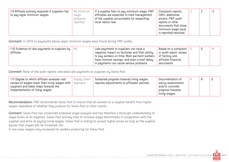| 1.9 Affiliate actively responds if suppliers fail<br>to pay legal minimum wages. | No minimum<br>wage<br>problems<br>reported | If a supplier fails to pay minimum wage, FWF<br>affiliates are expected to hold management<br>of the supplier accountable for respecting<br>local labour law. | Complaint reports,<br>CAPs, additional<br>emails, FWF audit<br>reports or other<br>documents that show<br>minimum wage issue<br>is reported/resolved. |  |  | $-2$ |
|----------------------------------------------------------------------------------|--------------------------------------------|---------------------------------------------------------------------------------------------------------------------------------------------------------------|-------------------------------------------------------------------------------------------------------------------------------------------------------|--|--|------|
|----------------------------------------------------------------------------------|--------------------------------------------|---------------------------------------------------------------------------------------------------------------------------------------------------------------|-------------------------------------------------------------------------------------------------------------------------------------------------------|--|--|------|

Comment: In 2014 no payments below legal minimum wages were found during FWF audits.

| 1.10 Evidence of late payments to suppliers by $\parallel$ No<br>affiliate. | Late payments to suppliers can have a<br>negative impact on factories and their ability<br>to pay workers on time. Most garment workers | Based on a complaint<br>or audit report; review<br>of factory and |  | -1 |
|-----------------------------------------------------------------------------|-----------------------------------------------------------------------------------------------------------------------------------------|-------------------------------------------------------------------|--|----|
|                                                                             | have minimal savings, and even a brief delay<br>$^{\circ}$ in payments can cause serious problems.                                      | affiliate financial<br>documents.                                 |  |    |

Comment: None of the audit reports indicated late payments to suppliers by Swiss Post.

| 1.11 Degree to which affiliate assesses root<br>causes of wages lower than living wages with<br>suppliers and takes steps towards the<br>implementation of living wages. | Supply chain<br>approach | Sustained progress towards living wages<br>requires adjustments to affiliates' policies. | Documentation of<br>policy assessments<br>and/or concrete<br>progress towards<br>living wages. |  |  |  |
|--------------------------------------------------------------------------------------------------------------------------------------------------------------------------|--------------------------|------------------------------------------------------------------------------------------|------------------------------------------------------------------------------------------------|--|--|--|
|--------------------------------------------------------------------------------------------------------------------------------------------------------------------------|--------------------------|------------------------------------------------------------------------------------------|------------------------------------------------------------------------------------------------|--|--|--|

Recommendation: FWF recommends Swiss Post to ensure that all workers at a supplier benefit from higher wages regardless of whether they produce for Swiss Post or other clients.

Comment: Swiss Post has conducted extensive wage analysis and has therefore a thorough understanding of wage levels at its suppliers. Swiss Post actively tries to increase wage benchmarks in cooperation with the supplier and aims at paying living wages. Swiss Post is willing to accept higher prices as long as the supplier agrees that wages will be increased, too.

In one case, wages only increased for workers producing for Swiss Post.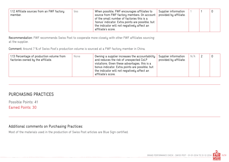| 1.12 Affiliate sources from an FWF factory<br>member. | Yes | When possible, FWF encourages affiliates to<br>source from FWF factory members. On account  <br>of the small number of factories this is a<br>'bonus' indicator. Extra points are possible, but<br>the indicator will not negatively affect an<br>affiliate's score. | Supplier information<br>provided by affiliate. |  |  |  |
|-------------------------------------------------------|-----|----------------------------------------------------------------------------------------------------------------------------------------------------------------------------------------------------------------------------------------------------------------------|------------------------------------------------|--|--|--|
|-------------------------------------------------------|-----|----------------------------------------------------------------------------------------------------------------------------------------------------------------------------------------------------------------------------------------------------------------------|------------------------------------------------|--|--|--|

Recommendation: FWF recommends Swiss Post to cooperate more closely with other FWF affiliates sourcing at the supplier.

Comment: Around 7 % of Swiss Post's production volume is sourced at a FWF factory member in China.

| N/A<br>1.13 Percentage of production volume from<br>Supplier information<br>Owning a supplier increases the accountability<br>None<br>and reduces the risk of unexpected CoLP<br>provided by affiliate.<br>factories owned by the affiliate.<br>violations. Given these advantages, this is a<br>bonus indicator. Extra points are possible, but<br>the indicator will not negatively affect an<br>affiliate's score. |  |  |
|-----------------------------------------------------------------------------------------------------------------------------------------------------------------------------------------------------------------------------------------------------------------------------------------------------------------------------------------------------------------------------------------------------------------------|--|--|
|-----------------------------------------------------------------------------------------------------------------------------------------------------------------------------------------------------------------------------------------------------------------------------------------------------------------------------------------------------------------------------------------------------------------------|--|--|

## PURCHASING PRACTICES

Possible Points: 41

Earned Points: 30

#### Additional comments on Purchasing Practices:

Most of the materials used in the production of Swiss Post articles are Blue Sign certified.

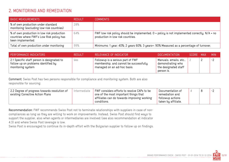## 2. MONITORING AND REMEDIATION

| <b>BASIC MEASUREMENTS</b>                                                                                   | <b>RESULT</b> | COMMENTS                                                                                                                              |
|-------------------------------------------------------------------------------------------------------------|---------------|---------------------------------------------------------------------------------------------------------------------------------------|
| % of own production under standard<br>monitoring (excluding low-risk countries)                             | 28%           |                                                                                                                                       |
| % of own production in low risk production<br>countries where FWF's Low Risk policy has<br>been implemented | 64%           | FWF low risk policy should be implemented. $0$ = policy is not implemented correctly. $N/A$ = no<br>production in low risk countries. |
| Total of own production under monitoring                                                                    | 99%           | Minimums: 1 year: 40%; 2 years 60%; 3 years+: 90% Measured as a percentage of turnover.                                               |

| <b>PERFORMANCE INDICATORS</b>                                                                          | <b>RESULT</b> | RELEVANCE OF INDICATOR                                                                                     | <b>DOCUMENTATION</b>                                                                | SCORE MAX |   | <b>MIN</b> |
|--------------------------------------------------------------------------------------------------------|---------------|------------------------------------------------------------------------------------------------------------|-------------------------------------------------------------------------------------|-----------|---|------------|
| 2.1 Specific staff person is designated to<br>follow up on problems identified by<br>monitoring system | Yes           | Followup is a serious part of FWF<br>membership, and cannot be successfully<br>managed on an ad-hoc basis. | Manuals, emails, etc.,  <br>demonstrating who<br>the designated staff<br>person is. |           | ∸ | $-2$       |

Comment: Swiss Post has two persons responsible for compliance and monitoring system. Both are also responsible for sourcing.

| 2.2 Degree of progress towards resolution of<br>Intermediate<br>existing Corrective Action Plans | FWF considers efforts to resolve CAPs to be<br>one of the most important things that<br>$\pm$ affiliates can do towards improving working<br>conditions. | Documentation of<br>remediation and<br>followup actions<br>taken by affiliate. |  |  | $-2$ |
|--------------------------------------------------------------------------------------------------|----------------------------------------------------------------------------------------------------------------------------------------------------------|--------------------------------------------------------------------------------|--|--|------|
|--------------------------------------------------------------------------------------------------|----------------------------------------------------------------------------------------------------------------------------------------------------------|--------------------------------------------------------------------------------|--|--|------|

Recommendation: FWF recommends Swiss Post not to terminate relationships with suppliers in case of noncompliances as long as they are willing to work on improvements. Instead, Swiss Post should find ways to support the supplier, also when agents or intermediaries are involved (see also recommendation at indicator 4.3) and where Swiss Post leverage is low.

Swiss Post is encouraged to continue its in-depth effort with the Bulgarian supplier to follow up on findings.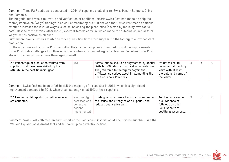Comment: Three FWF audit were conducted in 2014 at suppliers producing for Swiss Post in Bulgaria, China and Romania.

The Bulgaria audit was a follow-up and verification of additional efforts Swiss Post had made, to help the factory improve on (wage) findings in an earlier monitoring audit. It showed that Swiss Post made additional efforts to increase the level of wages, such as increasing the piece-price (covered by reducing own fabric cost). Despite these efforts, other mostly external factors came in, which made the outcome on actual total wages not as positive as planned.

Furthermore, Swiss Post has started to move production from other suppliers to the factory to allow constant production.

On the other two audits, Swiss Post had difficulties getting suppliers committed to work on improvements. Swiss Post finds challenges to follow-up on CAPs when an intermediary is involved and/or when Swiss Post share of the production volume (leverage) is small.

| $\,$ 2.3 Percentage of production volume from<br>76%<br>suppliers that have been visited by the<br>affiliate in the past financial year | Formal audits should be augmented by annual   Affiliates should<br>visits by affiliate staff or local representatives.<br>They reinforce to factory managers that<br>affiliates are serious about implementing the<br>Code of Labour Practices. | document all factory<br>visits with at least<br>the date and name of<br>the visitor. |  |  |
|-----------------------------------------------------------------------------------------------------------------------------------------|-------------------------------------------------------------------------------------------------------------------------------------------------------------------------------------------------------------------------------------------------|--------------------------------------------------------------------------------------|--|--|
|                                                                                                                                         |                                                                                                                                                                                                                                                 |                                                                                      |  |  |

Comment: Swiss Post made an effort to visit the majority of its supplier in 2014, which is a significant improvement compared to 2013, when they had only visited 19% of their suppliers.

| 2.4 Existing audit reports from other sources<br>Yes, quality<br>are collected.<br>assessed and<br>corrective<br>actions<br>implemented | Existing reports form a basis for understanding<br>the issues and strengths of a supplier, and<br>' reduces duplicative work. | Audit reports are on<br>file; evidence of<br>followup on prior<br>CAPs. Reports of<br>quality assessments. |  |  | 0 |  |
|-----------------------------------------------------------------------------------------------------------------------------------------|-------------------------------------------------------------------------------------------------------------------------------|------------------------------------------------------------------------------------------------------------|--|--|---|--|
|-----------------------------------------------------------------------------------------------------------------------------------------|-------------------------------------------------------------------------------------------------------------------------------|------------------------------------------------------------------------------------------------------------|--|--|---|--|

Comment: Swiss Post collected an audit report of the Fair Labour Association at one Chinese supplier, used the FWF audit quality assessment tool and followed up on corrective actions.

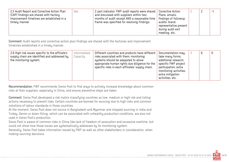| 2.5 Audit Report and Corrective Action Plan<br>(CAP) findings are shared with factory.<br>Improvement timelines are established in a<br>timely manner | Yes | 2 part indicator: FWF audit reports were shared<br>and discussed with suppliers within two<br>months of audit receipt AND a reasonable time<br>frame was specified for resolving findings. | Corrective Action<br>Plans, emails;<br>findings of followup<br>audits; brand<br>representative present<br>during audit exit<br>meeting, etc. |  |  | $\overline{\phantom{a}}$ |
|-------------------------------------------------------------------------------------------------------------------------------------------------------|-----|--------------------------------------------------------------------------------------------------------------------------------------------------------------------------------------------|----------------------------------------------------------------------------------------------------------------------------------------------|--|--|--------------------------|
|-------------------------------------------------------------------------------------------------------------------------------------------------------|-----|--------------------------------------------------------------------------------------------------------------------------------------------------------------------------------------------|----------------------------------------------------------------------------------------------------------------------------------------------|--|--|--------------------------|

Comment: Audit reports and corrective action plan findings are shared with the factories and improvement timelines established in a timely manner.

| 2.6 High risk issues specific to the affiliate's<br>Intermediate<br>Capacity<br>supply chain are identified and addressed by<br>the monitoring system. | Different countries and products have different<br>risks associated with them; monitoring<br>systems should be adapated to allow<br>appropriate human rights due diligence for the<br>specific risks in each affiliates' supply chain. | Documentation may<br>take many forms;<br>additional research,<br>specific FWF project<br>participation; extra<br>monitoring activities,<br>extra mitigation<br>activities, etc. |  |  |  |
|--------------------------------------------------------------------------------------------------------------------------------------------------------|----------------------------------------------------------------------------------------------------------------------------------------------------------------------------------------------------------------------------------------|---------------------------------------------------------------------------------------------------------------------------------------------------------------------------------|--|--|--|
|--------------------------------------------------------------------------------------------------------------------------------------------------------|----------------------------------------------------------------------------------------------------------------------------------------------------------------------------------------------------------------------------------------|---------------------------------------------------------------------------------------------------------------------------------------------------------------------------------|--|--|--|

Recommendation: FWF recommends Swiss Post to find ways to actively increase knowledge about common risks at their suppliers, especially in China, and ensure preventive steps are taken.

Comment: Swiss Post developed a risk matrix classifying countries as low, medium or high risk and listing actions necessary to prevent risks. Certain countries are banned for sourcing due to high risks and common violations of labour standards in those countries.

At the moment, Swiss Post does not source in Bangladesh and Myanmar and stopped sourcing in India and Turkey. Denim or down filling, which can be associated with unhealthy production conditions, are also not used in Swiss Post's production.

Swiss Post is aware of common risks in China like lack of freedom of assocation and excessive overtime, but could not show how those issues are systematically addresses by its monitoring system.

Generally, Swiss Post takes information issued by FWF as well as other stakeholders in consideration, when making sourcing decisions.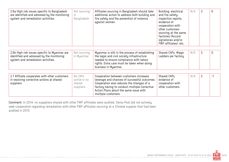| 2.6a High risk issues specific to Bangladesh<br>are identified and adressed by the monitoring<br>system and remediation activities. | Not sourcing<br>in.<br>Bangladesh               | Affiliates sourcing in Bangladesh should take<br>additional action to address both building and<br>fire safety and the prevention of violence<br>against women.                                                                                        | Building, electrical<br>and fire safety<br>inspection reports,<br>evidence of<br>cooperation with<br>other customers<br>sourcing at the same<br>factories (Accord<br>signatories and/or<br>FWF affiliates), etc. | N/A | 3              | 0        |
|-------------------------------------------------------------------------------------------------------------------------------------|-------------------------------------------------|--------------------------------------------------------------------------------------------------------------------------------------------------------------------------------------------------------------------------------------------------------|------------------------------------------------------------------------------------------------------------------------------------------------------------------------------------------------------------------|-----|----------------|----------|
| 2.6b High risk issues specific to Myanmar are<br>identified and adressed by the monitoring<br>system and remediation activities.    | Not sourcing<br>in Myanmar                      | Myanmar is still in the process of establishing<br>the legal and civil society infrastructure<br>needed to ensure compliance with labour<br>rights. Extra care must be taken when doing<br>business in Myanmar.                                        | Shared CAPs, Wage<br>Ladders per factory.                                                                                                                                                                        | N/A | 3              | $\Omega$ |
| 2.7 Affiliate cooperates with other customers<br>in resolving corrective actions at shared<br>suppliers                             | No CAPs<br>active or no<br>shared<br>suppliers. | Cooperation between customers increases<br>leverage and chances of successful outcomes.<br>Cooperation also reduces the changes of a<br>factory having to conduct multiple Corrective<br>Action Plans about the same issue with<br>multiple customers. | Shared CAPs,<br>evidence of<br>cooperation with<br>other customers.                                                                                                                                              | N/A | $\overline{2}$ | -1       |

Comment: In 2014, no supppliers shared with other FWF affiliates were audited. Swiss Post did not actively seek cooperation regarding remediation with other FWF affiliates sourcing at a Chinese supplier that had been audited in 2013.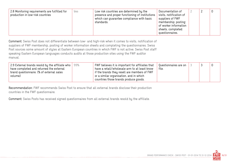| 2.8 Monitoring requirements are fulfilled for<br>Yes<br>production in low-risk countries | Low risk countries are determined by the<br>presence and proper functioning of institutions<br>which can guarantee compliance with basic<br>standards. | Documentation of<br>visits, notification of<br>suppliers of FWF<br>membership; posting<br>of worker information<br>sheets, completed<br>questionnaires. |  |  | Ū |  |
|------------------------------------------------------------------------------------------|--------------------------------------------------------------------------------------------------------------------------------------------------------|---------------------------------------------------------------------------------------------------------------------------------------------------------|--|--|---|--|
|------------------------------------------------------------------------------------------|--------------------------------------------------------------------------------------------------------------------------------------------------------|---------------------------------------------------------------------------------------------------------------------------------------------------------|--|--|---|--|

Comment: Swiss Post does not differentiate between low- and high-risk when it comes to visits, notification of suppliers of FWF membership, posting of worker information sheets and completing the questionnaires. Swiss Post sources some amount of styles at Eastern European countries in which FWF is not active. Swiss Post staff speaking Eastern European languages conducts audits at those production sites using the FWF auditor manual.

Recommendation: FWF recommends Swiss Post to ensure that all external brands disclose their production countries in the FWF questionnaire.

Comment: Swiss Posts has received signed questionnaires from all external brands resold by the affiliate.

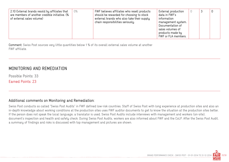| 2.10 External brands resold by affiliates that<br>are members of another credible initiative. (%<br>of external sales volume) | 0% | FWF believes affiliates who resell products<br>should be rewarded for choosing to stock<br>external brands who also take their supply<br>chain responsibilities seriously. | External production<br>data in FWF's<br>information<br>management system.<br>Documentation of<br>sales volumes of<br>products made by<br>FWF or FLA members. |  |  | 0 |
|-------------------------------------------------------------------------------------------------------------------------------|----|----------------------------------------------------------------------------------------------------------------------------------------------------------------------------|--------------------------------------------------------------------------------------------------------------------------------------------------------------|--|--|---|
|-------------------------------------------------------------------------------------------------------------------------------|----|----------------------------------------------------------------------------------------------------------------------------------------------------------------------------|--------------------------------------------------------------------------------------------------------------------------------------------------------------|--|--|---|

Comment: Swiss Post sources very little quantities below 1% of its overall external sales volume at another FWF affiliate.

## MONITORING AND REMEDIATION

Possible Points: 33 Earned Points: 23

#### Additional comments on Monitoring and Remediation:

Swiss Post conducts so called "Swiss Post Audits" in FWF defined low-risk countries. Staff of Swiss Post with long experience at production sites and also an in-depth knowledge about working conditions at the production sites uses FWF auditor documents to get to know the situation at the production sites better. If the person does not speak the local language, a translator is used. Swiss Post Audits include interviews with management and workers (on-site), document's inspection and health and safety check. During Swiss Post Audits, workers are also informed about FWF and the CoLP. After the Swiss Post Audit, a summary of findings and risks is discussed with top management and pictures are shown.

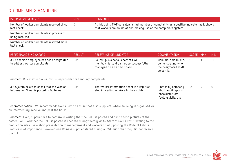#### 3. COMPLAINTS HANDLING

| <b>BASIC MEASUREMENTS</b>                                   | <b>RESULT</b> | <b>COMMENTS</b>                                                                                                                                                     |
|-------------------------------------------------------------|---------------|---------------------------------------------------------------------------------------------------------------------------------------------------------------------|
| Number of worker complaints received since<br>last check    |               | At this point, FWF considers a high number of complaints as a positive indicator, as it shows<br>that workers are aware of and making use of the complaints system. |
| Number of worker complaints in process of<br>being resolved |               |                                                                                                                                                                     |
| Number of worker complaints resolved since<br>last check    |               |                                                                                                                                                                     |

| <b>PERFORMANCE INDICATORS</b>                                                          | <b>RESULT</b> | RELEVANCE OF INDICATOR                                                                                     | DOCUMENTATION                                                                     | SCORE MAX | <b>MIN</b>     |
|----------------------------------------------------------------------------------------|---------------|------------------------------------------------------------------------------------------------------------|-----------------------------------------------------------------------------------|-----------|----------------|
| $^{\circ}$ 3.1 A specific employee has been designated<br>to address worker complaints | Yes           | Followup is a serious part of FWF<br>membership, and cannot be successfully<br>managed on an ad-hoc basis. | Manuals, emails, etc.,<br>demonstrating who<br>the designated staff<br>person is. |           | $\mathbb{R}^2$ |

Comment: CSR staff is Swiss Post is responsible for handling complaints.

| 3.2 System exists to check that the Worker<br>yes<br>Information Sheet is posted in factories | The Worker Information Sheet is a key first<br>step in alerting workers to their rights. | Photos by company<br>staff, audit reports,<br>checklists from<br>factory visits, etc. |  |  |  |  |
|-----------------------------------------------------------------------------------------------|------------------------------------------------------------------------------------------|---------------------------------------------------------------------------------------|--|--|--|--|
|-----------------------------------------------------------------------------------------------|------------------------------------------------------------------------------------------|---------------------------------------------------------------------------------------|--|--|--|--|

Recommendation: FWF recommends Swiss Post to ensure that also suppliers, where sourcing is organised via an intermediary, receive and post the CoLP.

Comment: Every supplier has to confirm in writing that the CoLP is posted and has to send pictures of the posted CoLP. Whether the CoLP is posted is checked during factory visits. Staff of Swiss Post traveling to the production sites use a short presentation to management and workers of why posting the Code of Labour Practice is of importance. However, one Chinese supplier stated during a FWF audit that they did not receive the CoLP.

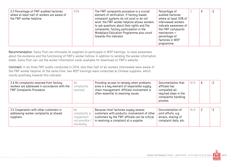| 3.3 Percentage of FWF-audited factories<br>40%<br>where at least half of workers are aware of<br>the FWF worker helpline. | The FWF complaints procedure is a crucial<br>element of verification. If factory-based<br>complaint systems do not exist or do not<br>work, the FWF worker helpline allows workers<br>to ask questions about their rights and file<br>complaints. Factory participation in the<br>Workplace Education Programme also count<br>towards this indicator. | Percentage of<br>audited factories<br>where at least 50% of<br>interviewed workers<br>indicate awareness of<br>the FWF complaints<br>mechanism +<br>percentage of<br>factories in WEP<br>programme. |  |  | $-2$ |
|---------------------------------------------------------------------------------------------------------------------------|-------------------------------------------------------------------------------------------------------------------------------------------------------------------------------------------------------------------------------------------------------------------------------------------------------------------------------------------------------|-----------------------------------------------------------------------------------------------------------------------------------------------------------------------------------------------------|--|--|------|
|---------------------------------------------------------------------------------------------------------------------------|-------------------------------------------------------------------------------------------------------------------------------------------------------------------------------------------------------------------------------------------------------------------------------------------------------------------------------------------------------|-----------------------------------------------------------------------------------------------------------------------------------------------------------------------------------------------------|--|--|------|

Recommendation: Swiss Post can stimulate its suppliers to participate in WEP trainings, to raise awareness about the existence and the functioning of FWF's worker hotline. In addition to sending the worker information sheet, Swiss Post can use the worker information cards available for download on FWF's website.

Comment: In all three FWF audits conducted in 2014, less than half of all workers interviewed were aware of the FWF worker helpline. At the same time, two WEP trainings were conducted at Chinese suppliers, which counts positively towards this indicator.

| 3.4 All complaints received from factory<br>workers are addressed in accordance with the<br><b>FWF Complaints Procedure</b> | No.<br>complaints<br>received                                       | Providing access to remedy when problems<br>arise is a key element of responsible supply<br>chain management. Affiliate involvement is<br>often essential to resolving issues.      | Documentation that<br>affiliate has<br>completed all<br>required steps in the<br>complaints handling<br>process. | N/A | $-2$ |
|-----------------------------------------------------------------------------------------------------------------------------|---------------------------------------------------------------------|-------------------------------------------------------------------------------------------------------------------------------------------------------------------------------------|------------------------------------------------------------------------------------------------------------------|-----|------|
| 3.5 Cooperation with other customers in<br>addressing worker complaints at shared<br>suppliers                              | No.<br>complaints or<br>cooperation<br>not possible /<br>necessary. | Because most factories supply several<br>customers with products, involvement of other<br>customers by the FWF affiliate can be critical<br>in resolving a complaint at a supplier. | Documentation of<br>joint efforts, e.g.<br>emails, sharing of<br>complaint data, etc.                            | N/A | $-2$ |

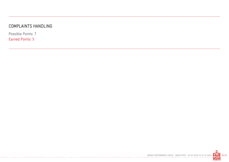# COMPLAINTS HANDLING

Possible Points: 7 Earned Points: 5

. **. . . . . . . . .** . . .

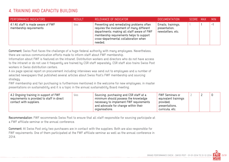# 4. TRAINING AND CAPACITY BUILDING

| PERFORMANCE INDICATORS                                        | <b>RESULT</b> | RELEVANCE OF INDICATOR                                                                                                                                                                                                                | <b>DOCUMENTATION</b>                                     | SCORE MAX | <b>MIN</b> |
|---------------------------------------------------------------|---------------|---------------------------------------------------------------------------------------------------------------------------------------------------------------------------------------------------------------------------------------|----------------------------------------------------------|-----------|------------|
| 4.1 All staff is made aware of FWF<br>membership requirements | Yes.          | Preventing and remediating problems often<br>requires the involvement of many different<br>departments; making all staff aware of FWF<br>membership requirements helps to support<br>cross-departmental collaboration when<br>needed. | Emails, trainings,<br>presentation,<br>newsletters, etc. |           | . –        |

Comment: Swiss Post faces the challenge of a huge federal authority with many employees. Nevertheless,

there are various communication efforts made to inform staff about FWF membership.

Information about FWF is featured on the intranet. Distribution workers and directors who do not have access to the intranet or do not use it frequently are trained by CSR staff separately. CSR staff also trains Swiss Post

workers in Swiss distribution centers.

A six page special report on procurement including interviews was send out to employees and a number of selected newspapers that published several articles about Swiss Post's FWF membership and sourcing strategy.

FWF membership and fair purchasing is furthermore mentioned in the welcome for new employees, in master presentations on sustainability and it is a topic in the annual sustainability Board meeting.

| 4.2 Ongoing training in support of FWF<br>yes<br>requirements is provided to staff in direct<br>contact with suppliers. | Sourcing, purchasing and CSR staff at a<br>minimum should possess the knowledge<br>necessary to implement FWF requirements<br>and advocate for change within their<br>organisations. | FWF Seminars or<br>equivalent trainings<br>provided;<br>presentations,<br>curricula, etc. |  |  |  |  |
|-------------------------------------------------------------------------------------------------------------------------|--------------------------------------------------------------------------------------------------------------------------------------------------------------------------------------|-------------------------------------------------------------------------------------------|--|--|--|--|
|-------------------------------------------------------------------------------------------------------------------------|--------------------------------------------------------------------------------------------------------------------------------------------------------------------------------------|-------------------------------------------------------------------------------------------|--|--|--|--|

Recommendation: FWF recommends Swiss Post to ensure that all staff responsible for sourcing participate at a FWF affiliate seminar or the annual conference.

Comment: At Swiss Post only two purchasers are in contact with the suppliers. Both are also responsible for FWF requirements. One of them participated at the FWF affiliate seminar as well as the annual conference in 2014.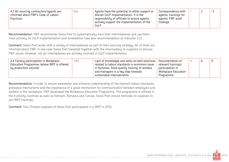| 4.3 All sourcing contractors/agents are<br>Yes<br>informed about FWF's Code of Labour<br>Practices. | Agents have the potential to either support or<br>disrupt CoLP implementation. It is the<br>responsibility of affiliate to ensure agents<br>actively support the implementation of the<br>CoLP. | Correspondence with<br>agents, trainings for<br>agents, FWF audit<br>findings. |  |  | $-2$ |
|-----------------------------------------------------------------------------------------------------|-------------------------------------------------------------------------------------------------------------------------------------------------------------------------------------------------|--------------------------------------------------------------------------------|--|--|------|
|-----------------------------------------------------------------------------------------------------|-------------------------------------------------------------------------------------------------------------------------------------------------------------------------------------------------|--------------------------------------------------------------------------------|--|--|------|

Recommendation: FWF recommends Swiss Post to systematically train their intermediaries and use them more actively for CoLP implementation and remediation (see also recommendation at indicator 2.2).

Comment: Swiss Post works with a variety of intermediaries as part of their sourcing strategy. All of them are informed about FWF, in one case Swiss Post travelled together with the intermediary to suppliers to discuss FWF issues. However, not all intermediares are actively involved in CoLP implementation.

| 54%<br>4.4 Factory participation in Workplace<br>Education Programme (where WEP is offered;<br>by production volume) | Lack of knowledge and skills on best practices<br>related to labour standards is acommon issue<br>in factories. Good quality training of workers<br>and managers is a key step towards<br>sustainable improvements. | Documentation of<br>relevant trainings;<br>participation in<br>Workplace Education<br>Programme. |  | b |  |  |
|----------------------------------------------------------------------------------------------------------------------|---------------------------------------------------------------------------------------------------------------------------------------------------------------------------------------------------------------------|--------------------------------------------------------------------------------------------------|--|---|--|--|
|----------------------------------------------------------------------------------------------------------------------|---------------------------------------------------------------------------------------------------------------------------------------------------------------------------------------------------------------------|--------------------------------------------------------------------------------------------------|--|---|--|--|

Recommendation: In order to ensure awareness and enhance understanding of the relevant labour standards, grievance mechanisms and the importance of a good mechanism for communication between employers and workers in the workplace, FWF developed the Workplace Education Programme. This programme is offered in the 4 priority countries as well as Vietnam, Romania and Tunisia. Swiss Post should motivate its suppliers to join WEP trainings.

Comment: Two Chinese suppliers of Swiss Post participated in a WEP in 2014.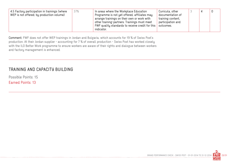| 37%<br>4.5 Factory participation in trainings (where<br>WEP is not offered; by production volume) | In areas where the Workplace Education<br>Programme is not yet offered, affiliates may<br>arrange trainings on their own or work with<br>other training-partners. Trainings must meet<br>FWF quality standards to receive credit for this<br>indicator. | Curricula, other<br>documentation of<br>training content,<br>participation and<br>outcomes. |  |  |  |
|---------------------------------------------------------------------------------------------------|---------------------------------------------------------------------------------------------------------------------------------------------------------------------------------------------------------------------------------------------------------|---------------------------------------------------------------------------------------------|--|--|--|
|---------------------------------------------------------------------------------------------------|---------------------------------------------------------------------------------------------------------------------------------------------------------------------------------------------------------------------------------------------------------|---------------------------------------------------------------------------------------------|--|--|--|

Comment: FWF does not offer WEP trainings in Jordan and Bulgaria, which accounts for 19 % of Swiss Post's production. At their Jordan supplier - accounting for 7 % of overall production - Swiss Post has worked closely with the ILO Better Work programme to ensure workers are aware of their rights and dialogue between workers and factory management is enhanced.

# TRAINING AND CAPACITY BUILDING

Possible Points: 15 Earned Points: 13

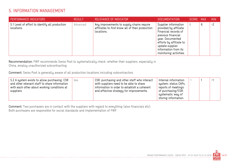# 5. INFORMATION MANAGEMENT

| PERFORMANCE INDICATORS                                      | <b>RESULT</b> | RELEVANCE OF INDICATOR                                                                                      | DOCUMENTATION                                                                                                                                                                                                    | SCORE MAX |   | <b>MIN</b> |
|-------------------------------------------------------------|---------------|-------------------------------------------------------------------------------------------------------------|------------------------------------------------------------------------------------------------------------------------------------------------------------------------------------------------------------------|-----------|---|------------|
| 5.1 Level of effort to identify all production<br>locations | Advanced      | Any improvements to supply chains require<br>affiliates to first know all of their production<br>locations. | Supplier information<br>provided by affiliate.<br>Financial records of<br>previous financial<br>year. Documented<br>efforts by affiliate to<br>update supplier<br>information from its<br>monitoring activities. | 6         | 6 | $-2$       |

Recommendation: FWF recommends Swiss Post to systematically check, whether their suppliers, especially in China, employ unauthorized subcontracting.

Comment: Swiss Post is generally aware of all production locations including subcontractors.

| 5.2 A system exists to allow purchasing, CSR<br>and other relevant staff to share information<br>with each other about working conditions at<br>suppliers | Yes | CSR, purchasing and other staff who interact<br>with suppliers need to be able to share<br>information in order to establish a coherent<br>and effective strategy for improvements. | Internal information<br>system; status CAPs,<br>reports of meetings<br>of purchasing/CSR;<br>systematic way of<br>storing information. |  |  | <u>. -</u> |
|-----------------------------------------------------------------------------------------------------------------------------------------------------------|-----|-------------------------------------------------------------------------------------------------------------------------------------------------------------------------------------|----------------------------------------------------------------------------------------------------------------------------------------|--|--|------------|
|-----------------------------------------------------------------------------------------------------------------------------------------------------------|-----|-------------------------------------------------------------------------------------------------------------------------------------------------------------------------------------|----------------------------------------------------------------------------------------------------------------------------------------|--|--|------------|

Comment: Two purchasers are in contact with the suppliers with regard to everything (also financials etc). Both purchasers are responsible for social standards and implementation of FWF.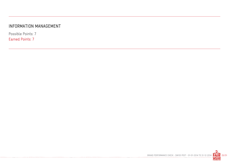## INFORMATION MANAGEMENT

Possible Points: 7 Earned Points: 7

. **. . . . . . . . .** . . .

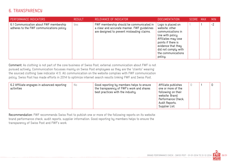### 6. TRANSPARENCY

| PERFORMANCE INDICATORS                                                             | <b>RESULT</b> | RELEVANCE OF INDICATOR                                                                                                                | <b>DOCUMENTATION</b>                                                                                                                                                                                     | <b>SCORE</b> | MAX | <b>MIN</b> |
|------------------------------------------------------------------------------------|---------------|---------------------------------------------------------------------------------------------------------------------------------------|----------------------------------------------------------------------------------------------------------------------------------------------------------------------------------------------------------|--------------|-----|------------|
| 6.1 Communication about FWF membership<br>adheres to the FWF communications policy | Yes           | FWF membership should be communicated in<br>a clear and accurate manner. FWF guidelines<br>are designed to prevent misleading claims. | Logo is placed on<br>website; other<br>communications in<br>line with policy.<br>Affiliates may lose<br>points if there is<br>evidence that they<br>did not comply with<br>the communications<br>policy. |              |     | $-2$       |

Comment: As clothing is not part of the core business of Swiss Post, external communication about FWF is not pursued actively. Communication focusses mainly on Swiss Post employees as they are the "clients" wearing the sourced clothing (see indicator 4.1). All communication on the website complies with FWF communication policy. Swiss Post has made efforts in 2014 to optimize internet search results linking FWF and Swiss Post.

| 6.2 Affiliate engages in advanced reporting<br>activities | No | Good reporting by members helps to ensure<br>the transparency of FWF's work and shares<br>best practices with the industry. | Affiliate publishes<br>one or more of the<br>following on their<br>website: Brand<br>Performance Check,<br>Audit Reports,<br>Supplier List. |  |  | 0 |
|-----------------------------------------------------------|----|-----------------------------------------------------------------------------------------------------------------------------|---------------------------------------------------------------------------------------------------------------------------------------------|--|--|---|
|-----------------------------------------------------------|----|-----------------------------------------------------------------------------------------------------------------------------|---------------------------------------------------------------------------------------------------------------------------------------------|--|--|---|

Recommendation: FWF recommends Swiss Post to publish one or more of the following reports on its website: brand performance check, audit reports, supplier information. Good reporting by members helps to ensure the transparency of Swiss Post and FWF's work.

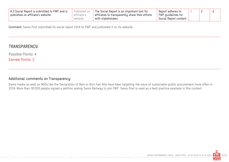| 6.3 Social Report is submitted to FWF and is<br>published on affiliate's website | Published on<br>affiliate's | The Social Report is an important tool for<br>affiliates to transparently share their efforts | Report adheres to<br>FWF quidelines for |  |  |
|----------------------------------------------------------------------------------|-----------------------------|-----------------------------------------------------------------------------------------------|-----------------------------------------|--|--|
|                                                                                  | website                     | with stakeholders.                                                                            | Social Report content.                  |  |  |

Comment: Swiss Post submitted its social report 2014 to FWF and published it on its website.

#### **TRANSPARENCY**

Possible Points: 4

Earned Points: 3

#### Additional comments on Transparency:

Swiss media as well as NGOs like the Declaration of Bern or Brot fuer Alle have been targeting the issue of sustainable public procurement more often in 2014. More than 18.000 people signed a petition asking Swiss Railway to join FWF. Swiss Post is used as a best practice example in this context.

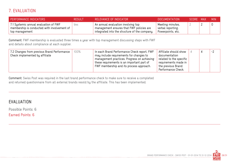# 7. EVALUATION

| PERFORMANCE INDICATORS                                                                                 | <b>RESULT</b> | RELEVANCE OF INDICATOR                                                                                                          | <b>DOCUMENTATION</b>                                       | SCORE MAX | <b>MIN</b> |
|--------------------------------------------------------------------------------------------------------|---------------|---------------------------------------------------------------------------------------------------------------------------------|------------------------------------------------------------|-----------|------------|
| 7.1 Systemic annual evaluation of FWF<br>membership is conducted with involvement of<br>top management | yes           | An annual evaluation involving top<br>management ensures that FWF policies are<br>integrated into the structure of the company. | Meeting minutes,<br>verbal reporting,<br>Powerpoints, etc. |           |            |

Comment: FWF membership is evaluated three times a year with top management discussing steps with FWF and details about compliance at each supplier.

Comment: Swiss Post was required in the last brand performance check to make sure to receive a completed and returned questionnaire from all external brands resold by the affiliate. This has been implemented.

#### EVALUATION

Possible Points: 6 Earned Points: 6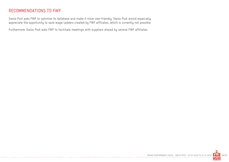#### RECOMMENDATIONS TO FWF

Swiss Post asks FWF to optimise its database and make it more user-friendly. Swiss Post would especially appreciate the opportunity to save wage ladders created by FWF affiliates, which is currently not possible.

Furthermore, Swiss Post asks FWF to facilitate meetings with suppliers shared by several FWF affiliates.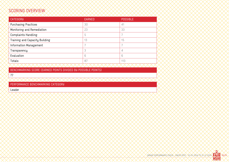# SCORING OVERVIEW

| CATEGORY                       | <b>EARNED</b> | <b>POSSIBLE</b> |
|--------------------------------|---------------|-----------------|
| <b>Purchasing Practices</b>    | 30            | 41              |
| Monitoring and Remediation     | 23            | 33              |
| <b>Complaints Handling</b>     | 5             |                 |
| Training and Capacity Building | 13            | 15              |
| Information Management         |               |                 |
| Transparency                   | 3             | 4               |
| Evaluation                     | 6             | 6               |
| Totals:<br>∧ ∧                 | 87            | 113             |

BENCHMARKING SCORE (EARNED POINTS DIVIDED BY POSSIBLE POINTS)

77

PERFORMANCE BENCHMARKING CATEGORY

Leader